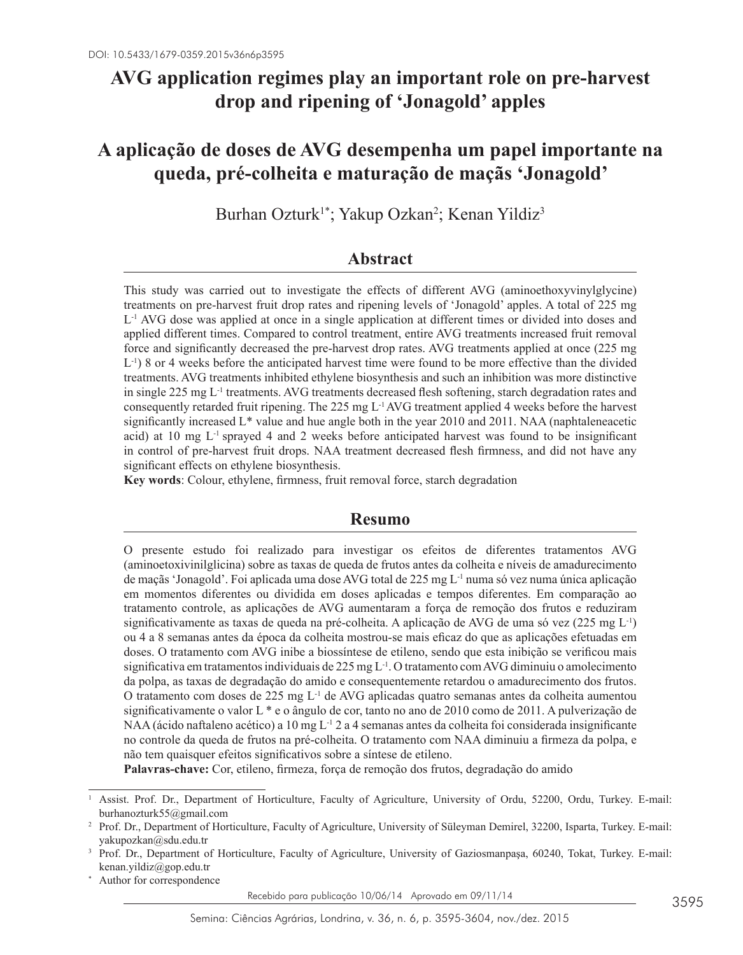# **AVG application regimes play an important role on pre-harvest drop and ripening of 'Jonagold' apples**

# **A aplicação de doses de AVG desempenha um papel importante na queda, pré-colheita e maturação de maçãs 'Jonagold'**

Burhan Ozturk<sup>1\*</sup>; Yakup Ozkan<sup>2</sup>; Kenan Yildiz<sup>3</sup>

## **Abstract**

This study was carried out to investigate the effects of different AVG (aminoethoxyvinylglycine) treatments on pre-harvest fruit drop rates and ripening levels of 'Jonagold' apples. A total of 225 mg L-1 AVG dose was applied at once in a single application at different times or divided into doses and applied different times. Compared to control treatment, entire AVG treatments increased fruit removal force and significantly decreased the pre-harvest drop rates. AVG treatments applied at once (225 mg  $L^{-1}$ ) 8 or 4 weeks before the anticipated harvest time were found to be more effective than the divided treatments. AVG treatments inhibited ethylene biosynthesis and such an inhibition was more distinctive in single 225 mg L-1 treatments. AVG treatments decreased flesh softening, starch degradation rates and consequently retarded fruit ripening. The 225 mg  $L<sup>1</sup>$  AVG treatment applied 4 weeks before the harvest significantly increased  $L^*$  value and hue angle both in the year 2010 and 2011. NAA (naphtaleneacetic acid) at 10 mg  $L^{-1}$  sprayed 4 and 2 weeks before anticipated harvest was found to be insignificant in control of pre-harvest fruit drops. NAA treatment decreased flesh firmness, and did not have any significant effects on ethylene biosynthesis.

**Key words**: Colour, ethylene, firmness, fruit removal force, starch degradation

#### **Resumo**

O presente estudo foi realizado para investigar os efeitos de diferentes tratamentos AVG (aminoetoxivinilglicina) sobre as taxas de queda de frutos antes da colheita e níveis de amadurecimento de maçãs 'Jonagold'. Foi aplicada uma dose AVG total de 225 mg L<sup>-1</sup> numa só vez numa única aplicação em momentos diferentes ou dividida em doses aplicadas e tempos diferentes. Em comparação ao tratamento controle, as aplicações de AVG aumentaram a força de remoção dos frutos e reduziram significativamente as taxas de queda na pré-colheita. A aplicação de AVG de uma só vez (225 mg L<sup>-1</sup>) ou 4 a 8 semanas antes da época da colheita mostrou-se mais eficaz do que as aplicações efetuadas em doses. O tratamento com AVG inibe a biossíntese de etileno, sendo que esta inibição se verificou mais significativa em tratamentos individuais de 225 mg L-1. O tratamento com AVG diminuiu o amolecimento da polpa, as taxas de degradação do amido e consequentemente retardou o amadurecimento dos frutos. O tratamento com doses de 225 mg  $L^{-1}$  de AVG aplicadas quatro semanas antes da colheita aumentou significativamente o valor L \* e o ângulo de cor, tanto no ano de 2010 como de 2011. A pulverização de NAA (ácido naftaleno acético) a 10 mg L<sup>-1</sup> 2 a 4 semanas antes da colheita foi considerada insignificante no controle da queda de frutos na pré-colheita. O tratamento com NAA diminuiu a firmeza da polpa, e não tem quaisquer efeitos significativos sobre a síntese de etileno.

**Palavras-chave:** Cor, etileno, firmeza, força de remoção dos frutos, degradação do amido

Author for correspondence

Recebido para publicação 10/06/14 Aprovado em 09/11/14

<sup>1</sup> Assist. Prof. Dr., Department of Horticulture, Faculty of Agriculture, University of Ordu, 52200, Ordu, Turkey. E-mail: burhanozturk55@gmail.com

<sup>2</sup> Prof. Dr., Department of Horticulture, Faculty of Agriculture, University of Süleyman Demirel, 32200, Isparta, Turkey. E-mail: yakupozkan@sdu.edu.tr

<sup>3</sup> Prof. Dr., Department of Horticulture, Faculty of Agriculture, University of Gaziosmanpaşa, 60240, Tokat, Turkey. E-mail: kenan.yildiz@gop.edu.tr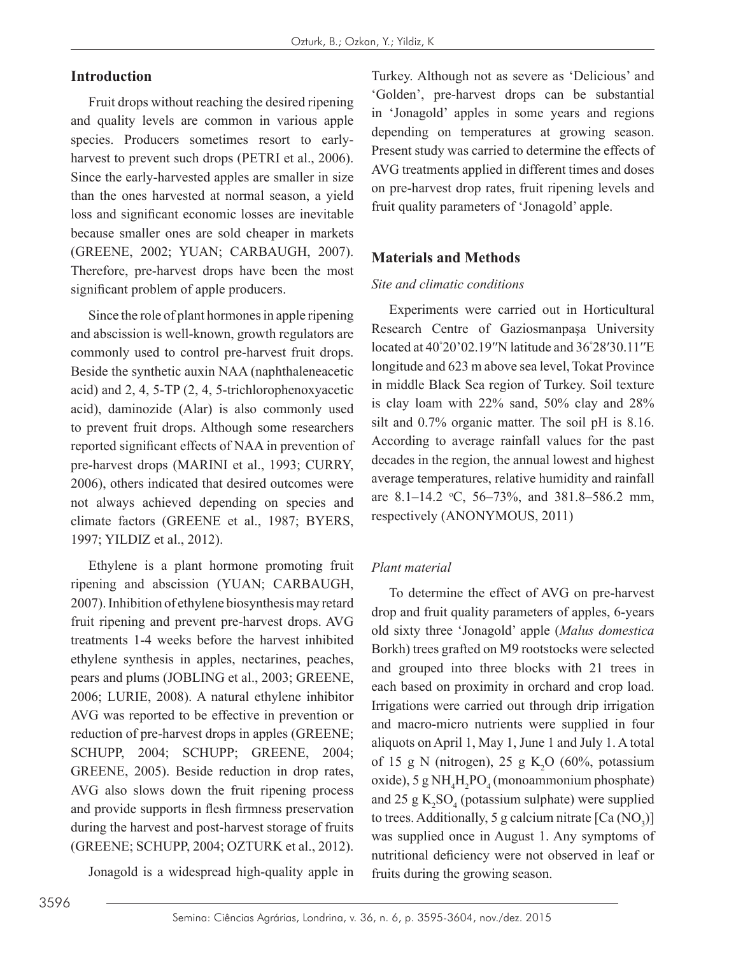## **Introduction**

Fruit drops without reaching the desired ripening and quality levels are common in various apple species. Producers sometimes resort to earlyharvest to prevent such drops (PETRI et al., 2006). Since the early-harvested apples are smaller in size than the ones harvested at normal season, a yield loss and significant economic losses are inevitable because smaller ones are sold cheaper in markets (GREENE, 2002; YUAN; CARBAUGH, 2007). Therefore, pre-harvest drops have been the most significant problem of apple producers.

Since the role of plant hormones in apple ripening and abscission is well-known, growth regulators are commonly used to control pre-harvest fruit drops. Beside the synthetic auxin NAA (naphthaleneacetic acid) and 2, 4, 5-TP (2, 4, 5-trichlorophenoxyacetic acid), daminozide (Alar) is also commonly used to prevent fruit drops. Although some researchers reported significant effects of NAA in prevention of pre-harvest drops (MARINI et al., 1993; CURRY, 2006), others indicated that desired outcomes were not always achieved depending on species and climate factors (GREENE et al., 1987; BYERS, 1997; YILDIZ et al., 2012).

Ethylene is a plant hormone promoting fruit ripening and abscission (YUAN; CARBAUGH, 2007). Inhibition of ethylene biosynthesis may retard fruit ripening and prevent pre-harvest drops. AVG treatments 1-4 weeks before the harvest inhibited ethylene synthesis in apples, nectarines, peaches, pears and plums (JOBLING et al., 2003; GREENE, 2006; LURIE, 2008). A natural ethylene inhibitor AVG was reported to be effective in prevention or reduction of pre-harvest drops in apples (GREENE; SCHUPP, 2004; SCHUPP; GREENE, 2004; GREENE, 2005). Beside reduction in drop rates, AVG also slows down the fruit ripening process and provide supports in flesh firmness preservation during the harvest and post-harvest storage of fruits (GREENE; SCHUPP, 2004; OZTURK et al., 2012).

Jonagold is a widespread high-quality apple in

Turkey. Although not as severe as 'Delicious' and 'Golden', pre-harvest drops can be substantial in 'Jonagold' apples in some years and regions depending on temperatures at growing season. Present study was carried to determine the effects of AVG treatments applied in different times and doses on pre-harvest drop rates, fruit ripening levels and fruit quality parameters of 'Jonagold' apple.

## **Materials and Methods**

#### *Site and climatic conditions*

Experiments were carried out in Horticultural Research Centre of Gaziosmanpaşa University located at 40°20'02.19''N latitude and 36°28'30.11''E longitude and 623 m above sea level, Tokat Province in middle Black Sea region of Turkey. Soil texture is clay loam with 22% sand, 50% clay and 28% silt and 0.7% organic matter. The soil pH is 8.16. According to average rainfall values for the past decades in the region, the annual lowest and highest average temperatures, relative humidity and rainfall are 8.1–14.2 °C, 56–73%, and 381.8–586.2 mm, respectively (ANONYMOUS, 2011)

## *Plant material*

To determine the effect of AVG on pre-harvest drop and fruit quality parameters of apples, 6-years old sixty three 'Jonagold' apple (*Malus domestica*  Borkh) trees grafted on M9 rootstocks were selected and grouped into three blocks with 21 trees in each based on proximity in orchard and crop load. Irrigations were carried out through drip irrigation and macro-micro nutrients were supplied in four aliquots on April 1, May 1, June 1 and July 1. A total of 15 g N (nitrogen), 25 g  $K_2O$  (60%, potassium oxide), 5 g  $NH<sub>4</sub>H<sub>2</sub>PO<sub>4</sub>$  (monoammonium phosphate) and 25  $g K<sub>2</sub>SO<sub>4</sub>$  (potassium sulphate) were supplied to trees. Additionally, 5 g calcium nitrate  $\text{[Ca (NO<sub>3</sub>)]}$ was supplied once in August 1. Any symptoms of nutritional deficiency were not observed in leaf or fruits during the growing season.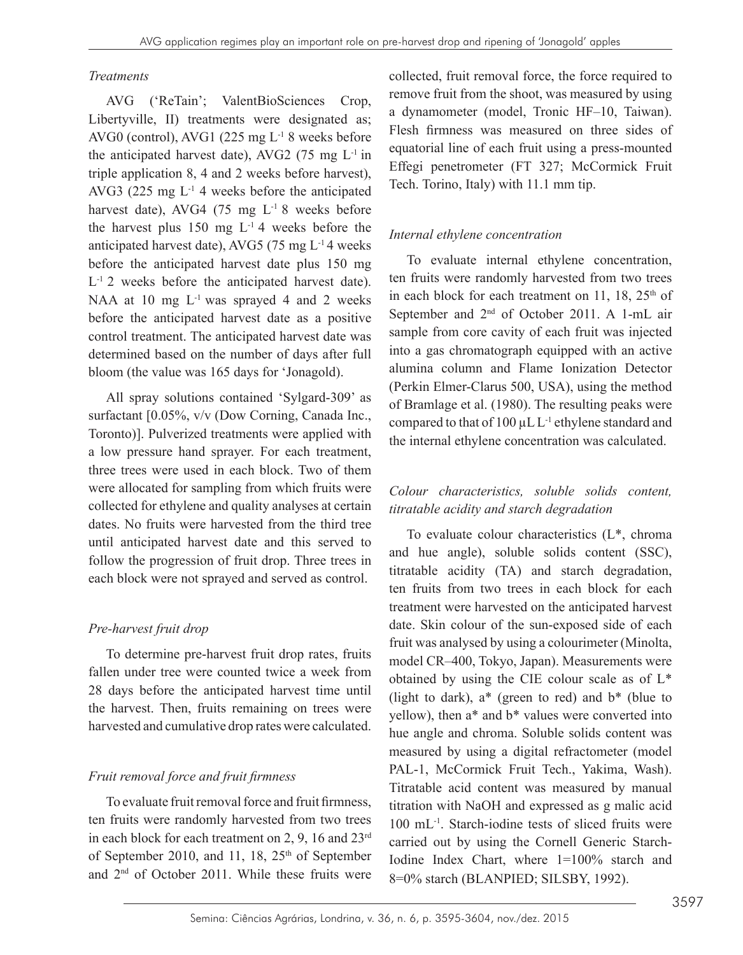#### *Treatments*

AVG ('ReTain'; ValentBioSciences Crop, Libertyville, II) treatments were designated as; AVG0 (control), AVG1 (225 mg  $L^{-1}$  8 weeks before the anticipated harvest date), AVG2 (75 mg  $L^{-1}$  in triple application 8, 4 and 2 weeks before harvest), AVG3 (225 mg  $L^{-1}$  4 weeks before the anticipated harvest date), AVG4 (75 mg  $L^{-1}$  8 weeks before the harvest plus 150 mg  $L^{-1}$  4 weeks before the anticipated harvest date), AVG5 (75 mg  $L^{-1}$  4 weeks before the anticipated harvest date plus 150 mg  $L^{-1}$  2 weeks before the anticipated harvest date). NAA at 10 mg  $L^{-1}$  was sprayed 4 and 2 weeks before the anticipated harvest date as a positive control treatment. The anticipated harvest date was determined based on the number of days after full bloom (the value was 165 days for 'Jonagold).

All spray solutions contained 'Sylgard-309' as surfactant [0.05%, v/v (Dow Corning, Canada Inc., Toronto)]. Pulverized treatments were applied with a low pressure hand sprayer. For each treatment, three trees were used in each block. Two of them were allocated for sampling from which fruits were collected for ethylene and quality analyses at certain dates. No fruits were harvested from the third tree until anticipated harvest date and this served to follow the progression of fruit drop. Three trees in each block were not sprayed and served as control.

## *Pre-harvest fruit drop*

To determine pre-harvest fruit drop rates, fruits fallen under tree were counted twice a week from 28 days before the anticipated harvest time until the harvest. Then, fruits remaining on trees were harvested and cumulative drop rates were calculated.

## *Fruit removal force and fruit firmness*

To evaluate fruit removal force and fruit firmness, ten fruits were randomly harvested from two trees in each block for each treatment on 2, 9, 16 and 23rd of September 2010, and 11, 18, 25<sup>th</sup> of September and 2nd of October 2011. While these fruits were

collected, fruit removal force, the force required to remove fruit from the shoot, was measured by using a dynamometer (model, Tronic HF–10, Taiwan). Flesh firmness was measured on three sides of equatorial line of each fruit using a press-mounted Effegi penetrometer (FT 327; McCormick Fruit Tech. Torino, Italy) with 11.1 mm tip.

## *Internal ethylene concentration*

To evaluate internal ethylene concentration, ten fruits were randomly harvested from two trees in each block for each treatment on 11, 18, 25<sup>th</sup> of September and  $2<sup>nd</sup>$  of October 2011. A 1-mL air sample from core cavity of each fruit was injected into a gas chromatograph equipped with an active alumina column and Flame Ionization Detector (Perkin Elmer-Clarus 500, USA), using the method of Bramlage et al. (1980). The resulting peaks were compared to that of 100  $\mu$ L L<sup>-1</sup> ethylene standard and the internal ethylene concentration was calculated.

## *Colour characteristics, soluble solids content, titratable acidity and starch degradation*

To evaluate colour characteristics (L\*, chroma and hue angle), soluble solids content (SSC), titratable acidity (TA) and starch degradation, ten fruits from two trees in each block for each treatment were harvested on the anticipated harvest date. Skin colour of the sun-exposed side of each fruit was analysed by using a colourimeter (Minolta, model CR–400, Tokyo, Japan). Measurements were obtained by using the CIE colour scale as of L\* (light to dark),  $a^*$  (green to red) and  $b^*$  (blue to yellow), then a\* and b\* values were converted into hue angle and chroma. Soluble solids content was measured by using a digital refractometer (model PAL-1, McCormick Fruit Tech., Yakima, Wash). Titratable acid content was measured by manual titration with NaOH and expressed as g malic acid 100 mL-1. Starch-iodine tests of sliced fruits were carried out by using the Cornell Generic Starch-Iodine Index Chart, where 1=100% starch and 8=0% starch (BLANPIED; SILSBY, 1992).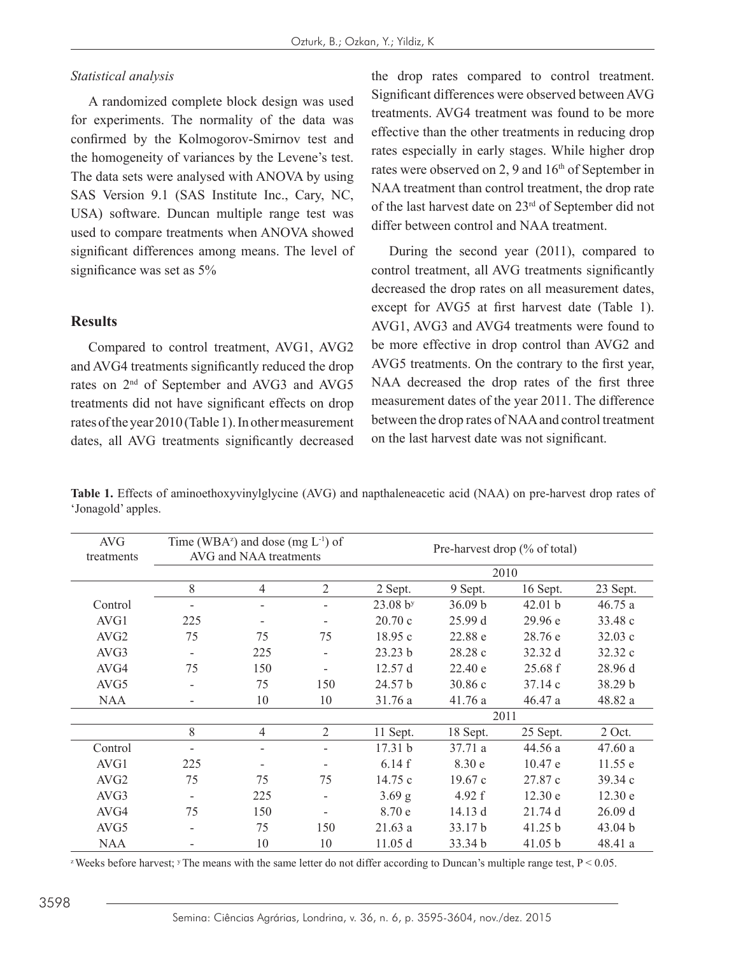#### *Statistical analysis*

A randomized complete block design was used for experiments. The normality of the data was confirmed by the Kolmogorov-Smirnov test and the homogeneity of variances by the Levene's test. The data sets were analysed with ANOVA by using SAS Version 9.1 (SAS Institute Inc., Cary, NC, USA) software. Duncan multiple range test was used to compare treatments when ANOVA showed significant differences among means. The level of significance was set as 5%

#### **Results**

Compared to control treatment, AVG1, AVG2 and AVG4 treatments significantly reduced the drop rates on 2nd of September and AVG3 and AVG5 treatments did not have significant effects on drop rates of the year 2010 (Table 1). In other measurement dates, all AVG treatments significantly decreased

 $\overline{\phantom{a}}$ 

the drop rates compared to control treatment. Significant differences were observed between AVG treatments. AVG4 treatment was found to be more effective than the other treatments in reducing drop rates especially in early stages. While higher drop rates were observed on 2, 9 and 16<sup>th</sup> of September in NAA treatment than control treatment, the drop rate of the last harvest date on 23rd of September did not differ between control and NAA treatment.

During the second year (2011), compared to control treatment, all AVG treatments significantly decreased the drop rates on all measurement dates, except for AVG5 at first harvest date (Table 1). AVG1, AVG3 and AVG4 treatments were found to be more effective in drop control than AVG2 and AVG5 treatments. On the contrary to the first year, NAA decreased the drop rates of the first three measurement dates of the year 2011. The difference between the drop rates of NAA and control treatment on the last harvest date was not significant.

**Table 1.** Effects of aminoethoxyvinylglycine (AVG) and napthaleneacetic acid (NAA) on pre-harvest drop rates of 'Jonagold' apples.

| <b>AVG</b><br>treatments |     | Time (WBA <sup>z</sup> ) and dose (mg $L^{-1}$ ) of<br>AVG and NAA treatments |                          | Pre-harvest drop (% of total) |          |          |          |  |  |
|--------------------------|-----|-------------------------------------------------------------------------------|--------------------------|-------------------------------|----------|----------|----------|--|--|
|                          |     |                                                                               |                          | 2010                          |          |          |          |  |  |
|                          | 8   | $\overline{4}$                                                                | $\overline{2}$           | 2 Sept.                       | 9 Sept.  | 16 Sept. | 23 Sept. |  |  |
| Control                  |     |                                                                               |                          | 23.08 b <sup>y</sup>          | 36.09 b  | 42.01 b  | 46.75a   |  |  |
| AVG1                     | 225 |                                                                               |                          | 20.70c                        | 25.99 d  | 29.96 e  | 33.48 c  |  |  |
| AVG <sub>2</sub>         | 75  | 75                                                                            | 75                       | 18.95c                        | 22.88 e  | 28.76 e  | 32.03c   |  |  |
| AVG3                     |     | 225                                                                           |                          | 23.23 b                       | 28.28 c  | 32.32 d  | 32.32 c  |  |  |
| AVG4                     | 75  | 150                                                                           | $\overline{\phantom{0}}$ | 12.57d                        | 22.40 e  | 25.68 f  | 28.96 d  |  |  |
| AVG5                     |     | 75                                                                            | 150                      | 24.57 b                       | 30.86c   | 37.14c   | 38.29 b  |  |  |
| <b>NAA</b>               |     | 10                                                                            | 10                       | 31.76a                        | 41.76a   | 46.47a   | 48.82 a  |  |  |
|                          |     |                                                                               |                          | 2011                          |          |          |          |  |  |
|                          | 8   | $\overline{4}$                                                                | $\overline{2}$           | 11 Sept.                      | 18 Sept. | 25 Sept. | $2$ Oct. |  |  |
| Control                  |     |                                                                               |                          | 17.31 b                       | 37.71a   | 44.56a   | 47.60a   |  |  |
| AVG1                     | 225 |                                                                               |                          | 6.14f                         | 8.30 e   | 10.47 e  | 11.55 e  |  |  |
| AVG <sub>2</sub>         | 75  | 75                                                                            | 75                       | 14.75 c                       | 19.67c   | 27.87 c  | 39.34 c  |  |  |
| AVG3                     |     | 225                                                                           | -                        | $3.69$ g                      | 4.92 f   | 12.30 e  | 12.30 e  |  |  |
| AVG4                     | 75  | 150                                                                           |                          | 8.70 e                        | 14.13 d  | 21.74d   | 26.09 d  |  |  |
| AVG5                     |     | 75                                                                            | 150                      | 21.63a                        | 33.17 b  | 41.25 b  | 43.04 b  |  |  |
| <b>NAA</b>               |     | 10                                                                            | 10                       | 11.05 d                       | 33.34 b  | 41.05 b  | 48.41 a  |  |  |

<sup>z</sup> Weeks before harvest; <sup>y</sup> The means with the same letter do not differ according to Duncan's multiple range test,  $P < 0.05$ .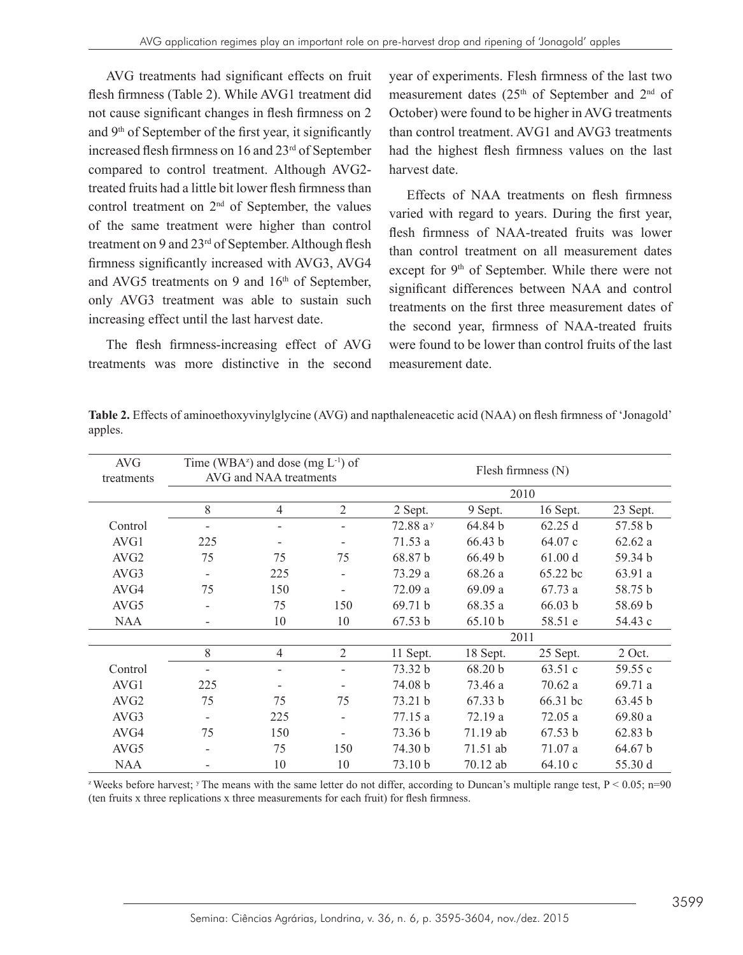AVG treatments had significant effects on fruit flesh firmness (Table 2). While AVG1 treatment did not cause significant changes in flesh firmness on 2 and 9th of September of the first year, it significantly increased flesh firmness on 16 and 23<sup>rd</sup> of September compared to control treatment. Although AVG2 treated fruits had a little bit lower flesh firmness than control treatment on 2nd of September, the values of the same treatment were higher than control treatment on 9 and 23<sup>rd</sup> of September. Although flesh firmness significantly increased with AVG3, AVG4 and AVG5 treatments on 9 and  $16<sup>th</sup>$  of September, only AVG3 treatment was able to sustain such increasing effect until the last harvest date.

The flesh firmness-increasing effect of AVG treatments was more distinctive in the second year of experiments. Flesh firmness of the last two measurement dates (25<sup>th</sup> of September and 2<sup>nd</sup> of October) were found to be higher in AVG treatments than control treatment. AVG1 and AVG3 treatments had the highest flesh firmness values on the last harvest date.

Effects of NAA treatments on flesh firmness varied with regard to years. During the first year, flesh firmness of NAA-treated fruits was lower than control treatment on all measurement dates except for 9<sup>th</sup> of September. While there were not significant differences between NAA and control treatments on the first three measurement dates of the second year, firmness of NAA-treated fruits were found to be lower than control fruits of the last measurement date.

| Table 2. Effects of aminoethoxyvinylglycine (AVG) and napthaleneacetic acid (NAA) on flesh firmness of 'Jonagold' |  |
|-------------------------------------------------------------------------------------------------------------------|--|
| apples.                                                                                                           |  |

| <b>AVG</b><br>treatments |                          | Time (WBA <sup>z</sup> ) and dose (mg $L^{-1}$ ) of<br>AVG and NAA treatments |                          | Flesh firmness $(N)$ |          |          |          |  |  |
|--------------------------|--------------------------|-------------------------------------------------------------------------------|--------------------------|----------------------|----------|----------|----------|--|--|
|                          |                          | 2010                                                                          |                          |                      |          |          |          |  |  |
|                          | 8                        | $\overline{4}$                                                                | $\overline{2}$           | 2 Sept.              | 9 Sept.  | 16 Sept. | 23 Sept. |  |  |
| Control                  |                          |                                                                               |                          | 72.88 $a^{y}$        | 64.84 b  | 62.25 d  | 57.58 b  |  |  |
| AVG1                     | 225                      |                                                                               |                          | 71.53a               | 66.43 b  | 64.07 c  | 62.62a   |  |  |
| AVG <sub>2</sub>         | 75                       | 75                                                                            | 75                       | 68.87 b              | 66.49 b  | 61.00 d  | 59.34 b  |  |  |
| AVG3                     | $\overline{\phantom{a}}$ | 225                                                                           | $\overline{\phantom{a}}$ | 73.29 a              | 68.26 a  | 65.22 bc | 63.91 a  |  |  |
| AVG4                     | 75                       | 150                                                                           |                          | 72.09 a              | 69.09a   | 67.73a   | 58.75 b  |  |  |
| AVG <sub>5</sub>         |                          | 75                                                                            | 150                      | 69.71 b              | 68.35 a  | 66.03 b  | 58.69 b  |  |  |
| <b>NAA</b>               |                          | 10                                                                            | 10                       | 67.53 b              | 65.10 b  | 58.51 e  | 54.43 c  |  |  |
|                          |                          |                                                                               |                          | 2011                 |          |          |          |  |  |
|                          | 8                        | $\overline{4}$                                                                | $\overline{2}$           | 11 Sept.             | 18 Sept. | 25 Sept. | $2$ Oct. |  |  |
| Control                  |                          |                                                                               |                          | 73.32 b              | 68.20 b  | 63.51c   | 59.55 c  |  |  |
| AVG1                     | 225                      |                                                                               |                          | 74.08 b              | 73.46 a  | 70.62a   | 69.71a   |  |  |
| AVG <sub>2</sub>         | 75                       | 75                                                                            | 75                       | 73.21 b              | 67.33 b  | 66.31 bc | 63.45 b  |  |  |
| AVG3                     |                          | 225                                                                           |                          | 77.15 a              | 72.19 a  | 72.05a   | 69.80a   |  |  |
| AVG4                     | 75                       | 150                                                                           |                          | 73.36 b              | 71.19 ab | 67.53 b  | 62.83 b  |  |  |
| AVG <sub>5</sub>         |                          | 75                                                                            | 150                      | 74.30 b              | 71.51 ab | 71.07 a  | 64.67 b  |  |  |
| <b>NAA</b>               |                          | 10                                                                            | 10                       | 73.10 b              | 70.12 ab | 64.10 c  | 55.30 d  |  |  |

<sup>z</sup> Weeks before harvest; <sup>y</sup> The means with the same letter do not differ, according to Duncan's multiple range test,  $P < 0.05$ ; n=90 (ten fruits x three replications x three measurements for each fruit) for flesh firmness.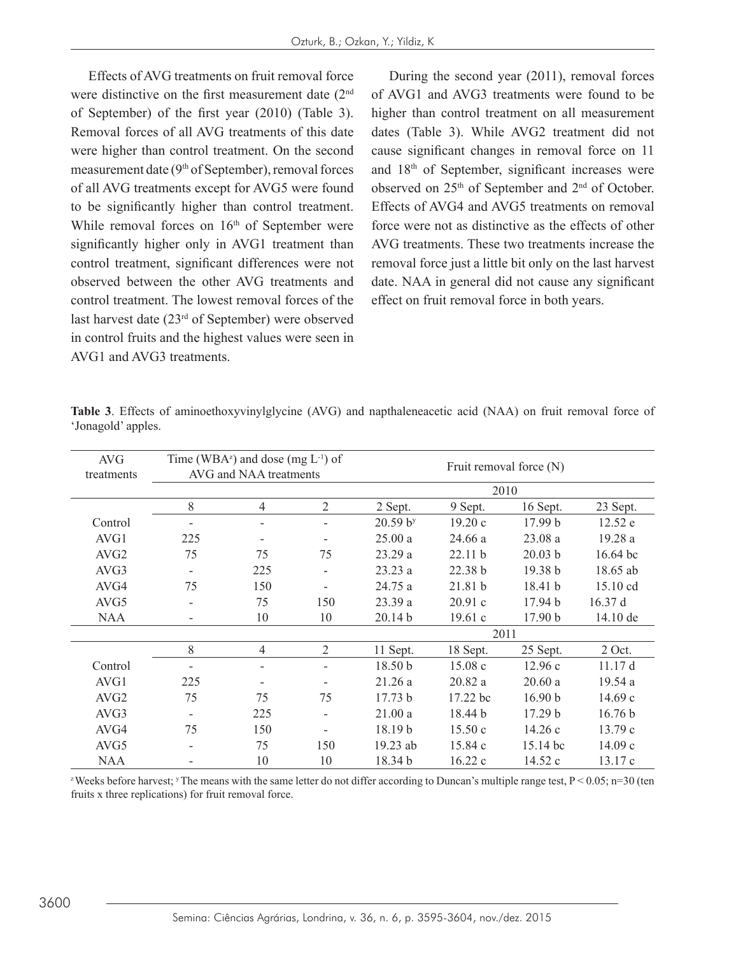Effects of AVG treatments on fruit removal force were distinctive on the first measurement date (2<sup>nd</sup>) of September) of the first year (2010) (Table 3). Removal forces of all AVG treatments of this date were higher than control treatment. On the second measurement date  $(9<sup>th</sup>$  of September), removal forces of all AVG treatments except for AVG5 were found to be significantly higher than control treatment. While removal forces on  $16<sup>th</sup>$  of September were significantly higher only in AVG1 treatment than control treatment, significant differences were not observed between the other AVG treatments and control treatment. The lowest removal forces of the last harvest date (23rd of September) were observed in control fruits and the highest values were seen in AVG1 and AVG3 treatments.

During the second year (2011), removal forces of AVG1 and AVG3 treatments were found to be higher than control treatment on all measurement dates (Table 3). While AVG2 treatment did not cause significant changes in removal force on 11 and 18th of September, significant increases were observed on 25th of September and 2nd of October. Effects of AVG4 and AVG5 treatments on removal force were not as distinctive as the effects of other AVG treatments. These two treatments increase the removal force just a little bit only on the last harvest date. NAA in general did not cause any significant effect on fruit removal force in both years.

| <b>AVG</b><br>treatments |      | Time (WBA <sup>z</sup> ) and dose (mg $L^{-1}$ ) of<br>AVG and NAA treatments |                              | Fruit removal force (N) |          |          |                    |  |  |
|--------------------------|------|-------------------------------------------------------------------------------|------------------------------|-------------------------|----------|----------|--------------------|--|--|
|                          | 2010 |                                                                               |                              |                         |          |          |                    |  |  |
|                          | 8    | $\overline{4}$                                                                | $\overline{2}$               | 2 Sept.                 | 9 Sept.  | 16 Sept. | 23 Sept.           |  |  |
| Control                  |      |                                                                               |                              | 20.59 b <sup>y</sup>    | 19.20c   | 17.99 b  | 12.52 e            |  |  |
| AVG1                     | 225  |                                                                               |                              | 25.00a                  | 24.66 a  | 23.08a   | 19.28 a            |  |  |
| AVG <sub>2</sub>         | 75   | 75                                                                            | 75                           | 23.29 a                 | 22.11 b  | 20.03 b  | $16.64$ bc         |  |  |
| AVG3                     | -    | 225                                                                           |                              | 23.23 a                 | 22.38 b  | 19.38 b  | 18.65 ab           |  |  |
| AVG4                     | 75   | 150                                                                           | $\overline{\phantom{0}}$     | 24.75 a                 | 21.81 b  | 18.41 b  | $15.10 \text{ cd}$ |  |  |
| AVG5                     | -    | 75                                                                            | 150                          | 23.39 a                 | 20.91c   | 17.94 b  | 16.37 d            |  |  |
| <b>NAA</b>               |      | 10                                                                            | 10                           | 20.14 b                 | 19.61c   | 17.90 b  | $14.10 \text{ de}$ |  |  |
|                          |      |                                                                               |                              |                         |          | 2011     |                    |  |  |
|                          | 8    | $\overline{4}$                                                                | $\overline{2}$               | 11 Sept.                | 18 Sept. | 25 Sept. | 2 Oct.             |  |  |
| Control                  |      |                                                                               |                              | 18.50 <sub>b</sub>      | 15.08c   | 12.96c   | 11.17d             |  |  |
| AVG1                     | 225  |                                                                               |                              | 21.26a                  | 20.82a   | 20.60a   | 19.54 a            |  |  |
| AVG <sub>2</sub>         | 75   | 75                                                                            | 75                           | 17.73 b                 | 17.22 bc | 16.90 b  | 14.69 c            |  |  |
| AVG3                     | -    | 225                                                                           |                              | $21.00a$                | 18.44 b  | 17.29 b  | 16.76 b            |  |  |
| AVG4                     | 75   | 150                                                                           | $\qquad \qquad \blacksquare$ | 18.19b                  | 15.50c   | 14.26c   | 13.79c             |  |  |
| AVG5                     |      | 75                                                                            | 150                          | 19.23 ab                | 15.84 c  | 15.14 bc | 14.09 c            |  |  |
| <b>NAA</b>               |      | 10                                                                            | 10                           | 18.34 b                 | 16.22 c  | 14.52 c  | 13.17c             |  |  |

**Table 3**. Effects of aminoethoxyvinylglycine (AVG) and napthaleneacetic acid (NAA) on fruit removal force of 'Jonagold' apples.

<sup>z</sup> Weeks before harvest; <sup>y</sup>The means with the same letter do not differ according to Duncan's multiple range test,  $P < 0.05$ ; n=30 (ten fruits x three replications) for fruit removal force.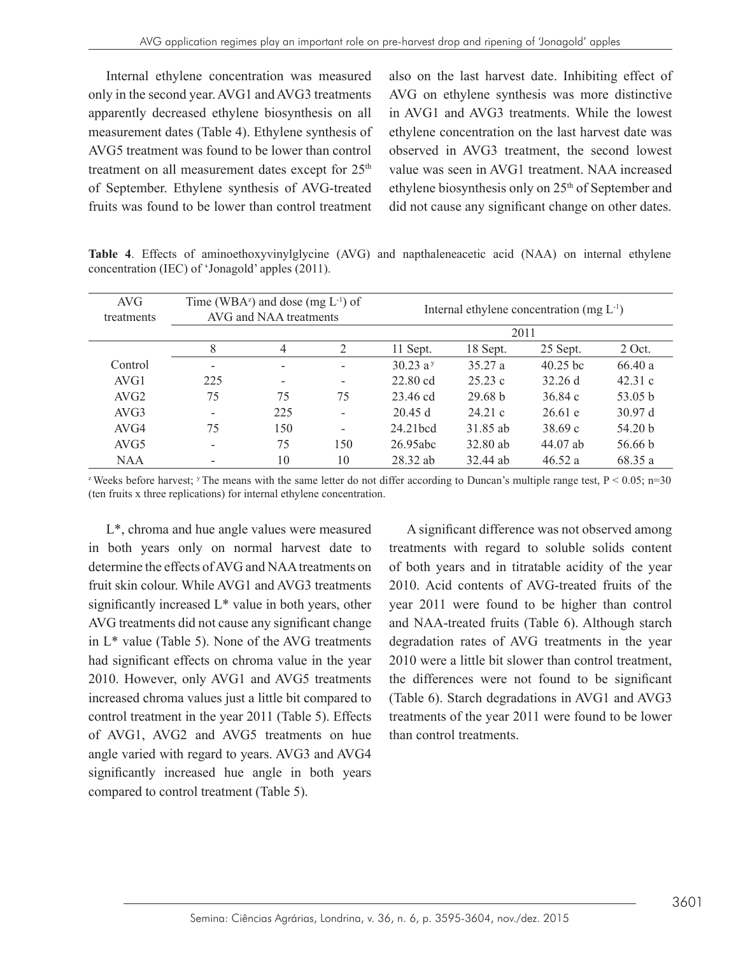Internal ethylene concentration was measured only in the second year. AVG1 and AVG3 treatments apparently decreased ethylene biosynthesis on all measurement dates (Table 4). Ethylene synthesis of AVG5 treatment was found to be lower than control treatment on all measurement dates except for  $25<sup>th</sup>$ of September. Ethylene synthesis of AVG-treated fruits was found to be lower than control treatment

also on the last harvest date. Inhibiting effect of AVG on ethylene synthesis was more distinctive in AVG1 and AVG3 treatments. While the lowest ethylene concentration on the last harvest date was observed in AVG3 treatment, the second lowest value was seen in AVG1 treatment. NAA increased ethylene biosynthesis only on 25th of September and did not cause any significant change on other dates.

**Table 4**. Effects of aminoethoxyvinylglycine (AVG) and napthaleneacetic acid (NAA) on internal ethylene concentration (IEC) of 'Jonagold' apples (2011).

| <b>AVG</b><br>treatments |     | Time (WBA <sup>z</sup> ) and dose (mg $L^{-1}$ ) of<br>AVG and NAA treatments |                              | Internal ethylene concentration $(mg L^{-1})$ |                    |            |           |  |  |
|--------------------------|-----|-------------------------------------------------------------------------------|------------------------------|-----------------------------------------------|--------------------|------------|-----------|--|--|
|                          |     |                                                                               |                              | 2011                                          |                    |            |           |  |  |
|                          | 8   | $\overline{4}$                                                                | 2                            | 11 Sept.                                      | 18 Sept.           | 25 Sept.   | $2$ Oct.  |  |  |
| Control                  | -   |                                                                               | ۰                            | 30.23a                                        | 35.27a             | $40.25$ bc | 66.40a    |  |  |
| AVG1                     | 225 |                                                                               | $\qquad \qquad \blacksquare$ | 22.80 cd                                      | 25.23c             | 32.26 d    | 42.31c    |  |  |
| AVG <sub>2</sub>         | 75  | 75                                                                            | 75                           | 23.46 cd                                      | 29.68 <sub>b</sub> | 36.84c     | 53.05 $b$ |  |  |
| AVG3                     |     | 225                                                                           | ۰                            | 20.45d                                        | 24.21c             | 26.61 e    | 30.97d    |  |  |
| AVG4                     | 75  | 150                                                                           | $\overline{\phantom{0}}$     | 24.21 <sub>bcd</sub>                          | 31.85 ab           | 38.69c     | 54.20 b   |  |  |
| AVG <sub>5</sub>         |     | 75                                                                            | 150                          | 26.95abc                                      | 32.80 ab           | 44.07 ab   | 56.66 b   |  |  |
| <b>NAA</b>               |     | 10                                                                            | 10                           | $28.32$ ab                                    | 32.44 ab           | 46.52a     | 68.35 a   |  |  |

<sup>z</sup> Weeks before harvest; <sup>y</sup> The means with the same letter do not differ according to Duncan's multiple range test,  $P < 0.05$ ; n=30 (ten fruits x three replications) for internal ethylene concentration.

L\*, chroma and hue angle values were measured in both years only on normal harvest date to determine the effects of AVG and NAA treatments on fruit skin colour. While AVG1 and AVG3 treatments significantly increased  $L^*$  value in both years, other AVG treatments did not cause any significant change in L\* value (Table 5). None of the AVG treatments had significant effects on chroma value in the year 2010. However, only AVG1 and AVG5 treatments increased chroma values just a little bit compared to control treatment in the year 2011 (Table 5). Effects of AVG1, AVG2 and AVG5 treatments on hue angle varied with regard to years. AVG3 and AVG4 significantly increased hue angle in both years compared to control treatment (Table 5).

A significant difference was not observed among treatments with regard to soluble solids content of both years and in titratable acidity of the year 2010. Acid contents of AVG-treated fruits of the year 2011 were found to be higher than control and NAA-treated fruits (Table 6). Although starch degradation rates of AVG treatments in the year 2010 were a little bit slower than control treatment, the differences were not found to be significant (Table 6). Starch degradations in AVG1 and AVG3 treatments of the year 2011 were found to be lower than control treatments.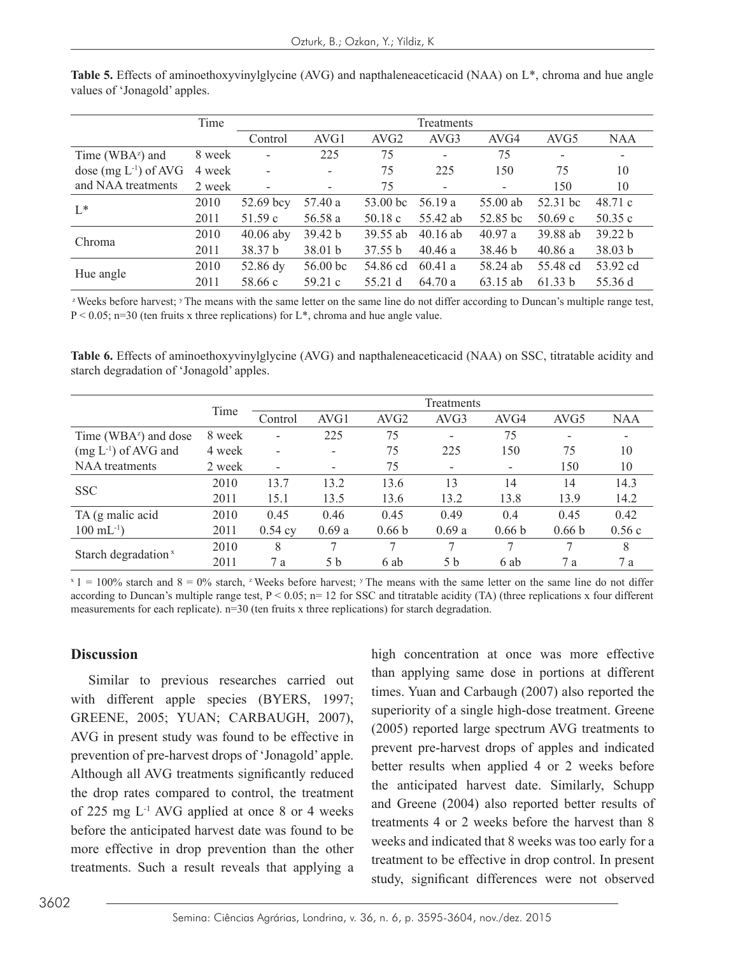| Time                      |        |                | Treatments |                  |                          |                          |                  |            |  |  |
|---------------------------|--------|----------------|------------|------------------|--------------------------|--------------------------|------------------|------------|--|--|
|                           |        | Control        | AVG1       | AVG <sub>2</sub> | AVG3                     | AVG4                     | AVG <sub>5</sub> | <b>NAA</b> |  |  |
| Time ( $WBA^z$ ) and      | 8 week | $\blacksquare$ | 225        | 75               | $\overline{\phantom{a}}$ | 75                       |                  |            |  |  |
| dose $(mg L^{-1})$ of AVG | 4 week |                |            | 75               | 225                      | 150                      | 75               | 10         |  |  |
| and NAA treatments        | 2 week | $\sim$         | -          | 75               | -                        | $\overline{\phantom{a}}$ | 150              | 10         |  |  |
| $L^*$                     | 2010   | 52.69 bcy      | 57.40 a    | $53.00$ bc       | 56.19 a                  | 55.00 ab                 | 52.31 bc         | 48.71c     |  |  |
|                           | 2011   | 51.59c         | 56.58 a    | 50.18c           | 55.42 ab                 | 52.85 bc                 | 50.69c           | 50.35 $c$  |  |  |
|                           | 2010   | $40.06$ aby    | 39.42 b    | 39.55 ab         | $40.16$ ab               | 40.97a                   | 39.88 ab         | 39.22 b    |  |  |
| Chroma                    | 2011   | 38.37 b        | 38.01 b    | 37.55 b          | 40.46a                   | 38.46 b                  | 40.86a           | 38.03 b    |  |  |
|                           | 2010   | 52.86 dy       | 56.00 bc   | 54.86 cd         | 60.41a                   | 58.24 ab                 | 55.48 cd         | 53.92 cd   |  |  |
| Hue angle                 | 2011   | 58.66 c        | 59.21 c    | 55.21 d          | 64.70 a                  | 63.15 ab                 | 61.33 b          | 55.36 d    |  |  |

**Table 5.** Effects of aminoethoxyvinylglycine (AVG) and napthaleneaceticacid (NAA) on L\*, chroma and hue angle values of 'Jonagold' apples.

<sup>z</sup> Weeks before harvest; <sup>y</sup> The means with the same letter on the same line do not differ according to Duncan's multiple range test,  $P < 0.05$ ; n=30 (ten fruits x three replications) for L<sup>\*</sup>, chroma and hue angle value.

**Table 6.** Effects of aminoethoxyvinylglycine (AVG) and napthaleneaceticacid (NAA) on SSC, titratable acidity and starch degradation of 'Jonagold' apples.

|                                   |        | Treatments<br>Time       |                          |                   |                          |                          |                   |            |  |
|-----------------------------------|--------|--------------------------|--------------------------|-------------------|--------------------------|--------------------------|-------------------|------------|--|
|                                   |        | Control                  | AVG1                     | AVG <sub>2</sub>  | AVG3                     | AVG4                     | AVG <sub>5</sub>  | <b>NAA</b> |  |
| Time (WBA <sup>z</sup> ) and dose | 8 week | $\overline{\phantom{a}}$ | 225                      | 75                |                          | 75                       |                   |            |  |
| $(mg L^{-1})$ of AVG and          | 4 week | $\overline{\phantom{a}}$ | $\overline{\phantom{a}}$ | 75                | 225                      | 150                      | 75                | 10         |  |
| NAA treatments                    | 2 week | $\overline{\phantom{0}}$ | $\qquad \qquad$          | 75                | $\overline{\phantom{a}}$ | $\overline{\phantom{a}}$ | 150               | 10         |  |
| <b>SSC</b>                        | 2010   | 13.7                     | 13.2                     | 13.6              | 13                       | 14                       | 14                | 14.3       |  |
|                                   | 2011   | 15.1                     | 13.5                     | 13.6              | 13.2                     | 13.8                     | 13.9              | 14.2       |  |
| TA (g malic acid                  | 2010   | 0.45                     | 0.46                     | 0.45              | 0.49                     | 0.4                      | 0.45              | 0.42       |  |
| $100 \text{ mL}^{-1}$ )           | 2011   | $0.54$ cy                | 0.69a                    | 0.66 <sub>b</sub> | 0.69a                    | 0.66 <sub>b</sub>        | 0.66 <sub>b</sub> | 0.56c      |  |
|                                   | 2010   | 8                        |                          | 7                 | $\mathcal{I}$            | $\tau$                   |                   | 8          |  |
| Starch degradation <sup>x</sup>   | 2011   | 7a                       | 5 b                      | 6 ab              | 5 b                      | 6 ab                     | 7a                | 7a         |  |

 $x_1 = 100\%$  starch and  $8 = 0\%$  starch, z Weeks before harvest; y The means with the same letter on the same line do not differ according to Duncan's multiple range test,  $P < 0.05$ ; n= 12 for SSC and titratable acidity (TA) (three replications x four different measurements for each replicate).  $n=30$  (ten fruits x three replications) for starch degradation.

#### **Discussion**

Similar to previous researches carried out with different apple species (BYERS, 1997; GREENE, 2005; YUAN; CARBAUGH, 2007), AVG in present study was found to be effective in prevention of pre-harvest drops of 'Jonagold' apple. Although all AVG treatments significantly reduced the drop rates compared to control, the treatment of 225 mg  $L^{-1}$  AVG applied at once 8 or 4 weeks before the anticipated harvest date was found to be more effective in drop prevention than the other treatments. Such a result reveals that applying a

high concentration at once was more effective than applying same dose in portions at different times. Yuan and Carbaugh (2007) also reported the superiority of a single high-dose treatment. Greene (2005) reported large spectrum AVG treatments to prevent pre-harvest drops of apples and indicated better results when applied 4 or 2 weeks before the anticipated harvest date. Similarly, Schupp and Greene (2004) also reported better results of treatments 4 or 2 weeks before the harvest than 8 weeks and indicated that 8 weeks was too early for a treatment to be effective in drop control. In present study, significant differences were not observed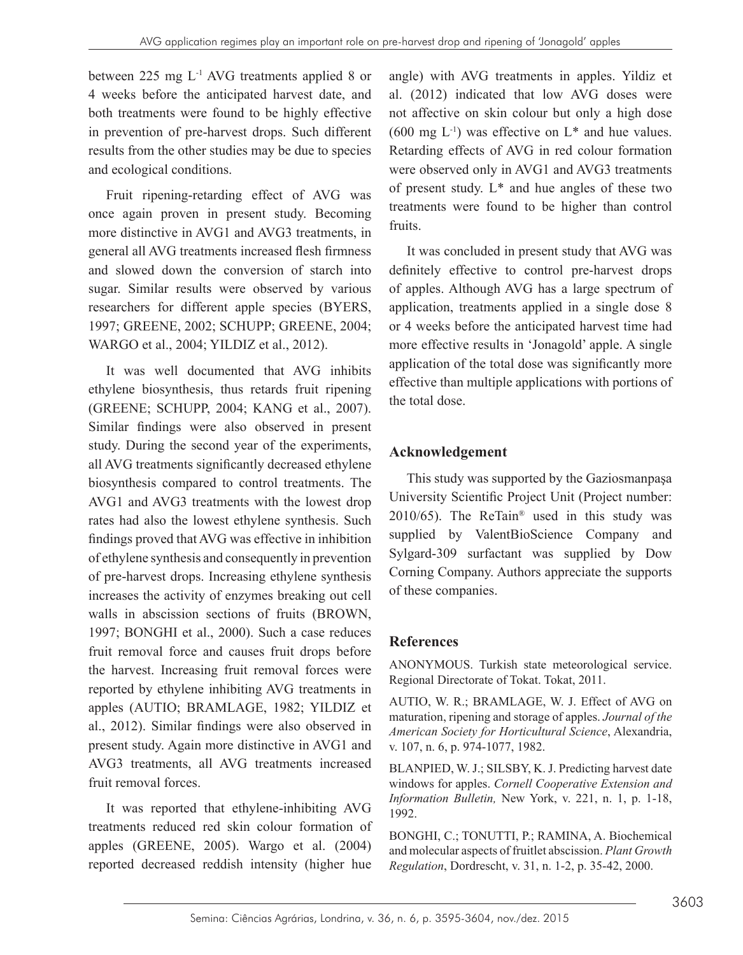between 225 mg L-1 AVG treatments applied 8 or 4 weeks before the anticipated harvest date, and both treatments were found to be highly effective in prevention of pre-harvest drops. Such different results from the other studies may be due to species and ecological conditions.

Fruit ripening-retarding effect of AVG was once again proven in present study. Becoming more distinctive in AVG1 and AVG3 treatments, in general all AVG treatments increased flesh firmness and slowed down the conversion of starch into sugar. Similar results were observed by various researchers for different apple species (BYERS, 1997; GREENE, 2002; SCHUPP; GREENE, 2004; WARGO et al., 2004; YILDIZ et al., 2012).

It was well documented that AVG inhibits ethylene biosynthesis, thus retards fruit ripening (GREENE; SCHUPP, 2004; KANG et al., 2007). Similar findings were also observed in present study. During the second year of the experiments, all AVG treatments significantly decreased ethylene biosynthesis compared to control treatments. The AVG1 and AVG3 treatments with the lowest drop rates had also the lowest ethylene synthesis. Such findings proved that AVG was effective in inhibition of ethylene synthesis and consequently in prevention of pre-harvest drops. Increasing ethylene synthesis increases the activity of enzymes breaking out cell walls in abscission sections of fruits (BROWN, 1997; BONGHI et al., 2000). Such a case reduces fruit removal force and causes fruit drops before the harvest. Increasing fruit removal forces were reported by ethylene inhibiting AVG treatments in apples (AUTIO; BRAMLAGE, 1982; YILDIZ et al., 2012). Similar findings were also observed in present study. Again more distinctive in AVG1 and AVG3 treatments, all AVG treatments increased fruit removal forces.

It was reported that ethylene-inhibiting AVG treatments reduced red skin colour formation of apples (GREENE, 2005). Wargo et al. (2004) reported decreased reddish intensity (higher hue

angle) with AVG treatments in apples. Yildiz et al. (2012) indicated that low AVG doses were not affective on skin colour but only a high dose (600 mg  $L^{-1}$ ) was effective on  $L^*$  and hue values. Retarding effects of AVG in red colour formation were observed only in AVG1 and AVG3 treatments of present study. L\* and hue angles of these two treatments were found to be higher than control fruits.

It was concluded in present study that AVG was definitely effective to control pre-harvest drops of apples. Although AVG has a large spectrum of application, treatments applied in a single dose 8 or 4 weeks before the anticipated harvest time had more effective results in 'Jonagold' apple. A single application of the total dose was significantly more effective than multiple applications with portions of the total dose.

# **Acknowledgement**

This study was supported by the Gaziosmanpaşa University Scientific Project Unit (Project number: 2010/65). The ReTain® used in this study was supplied by ValentBioScience Company and Sylgard-309 surfactant was supplied by Dow Corning Company. Authors appreciate the supports of these companies.

# **References**

ANONYMOUS. Turkish state meteorological service. Regional Directorate of Tokat. Tokat, 2011.

AUTIO, W. R.; BRAMLAGE, W. J. Effect of AVG on maturation, ripening and storage of apples. *Journal of the American Society for Horticultural Science*, Alexandria, v. 107, n. 6, p. 974-1077, 1982.

BLANPIED, W. J.; SILSBY, K. J. Predicting harvest date windows for apples. *Cornell Cooperative Extension and Information Bulletin,* New York, v. 221, n. 1, p. 1-18, 1992.

BONGHI, C.; TONUTTI, P.; RAMINA, A. Biochemical and molecular aspects of fruitlet abscission. *Plant Growth Regulation*, Dordrescht, v. 31, n. 1-2, p. 35-42, 2000.